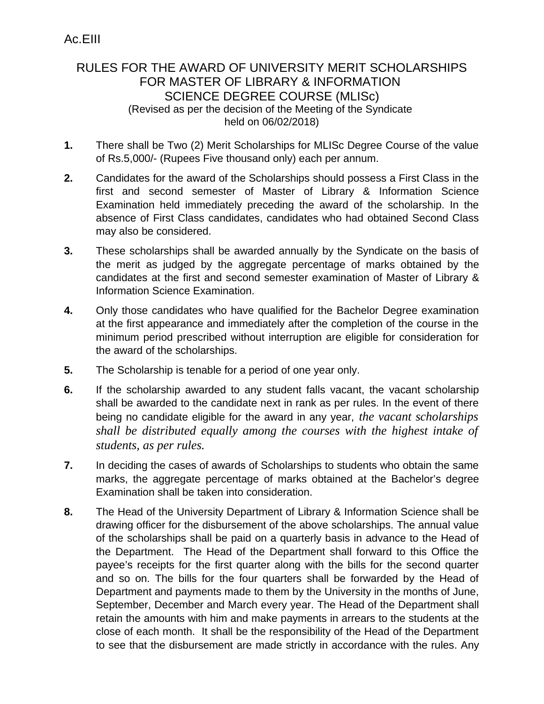## RULES FOR THE AWARD OF UNIVERSITY MERIT SCHOLARSHIPS FOR MASTER OF LIBRARY & INFORMATION SCIENCE DEGREE COURSE (MLISc) (Revised as per the decision of the Meeting of the Syndicate held on 06/02/2018)

- **1.** There shall be Two (2) Merit Scholarships for MLISc Degree Course of the value of Rs.5,000/- (Rupees Five thousand only) each per annum.
- **2.** Candidates for the award of the Scholarships should possess a First Class in the first and second semester of Master of Library & Information Science Examination held immediately preceding the award of the scholarship. In the absence of First Class candidates, candidates who had obtained Second Class may also be considered.
- **3.** These scholarships shall be awarded annually by the Syndicate on the basis of the merit as judged by the aggregate percentage of marks obtained by the candidates at the first and second semester examination of Master of Library & Information Science Examination.
- **4.** Only those candidates who have qualified for the Bachelor Degree examination at the first appearance and immediately after the completion of the course in the minimum period prescribed without interruption are eligible for consideration for the award of the scholarships.
- **5.** The Scholarship is tenable for a period of one year only.
- **6.** If the scholarship awarded to any student falls vacant, the vacant scholarship shall be awarded to the candidate next in rank as per rules. In the event of there being no candidate eligible for the award in any year, *the vacant scholarships shall be distributed equally among the courses with the highest intake of students, as per rules.*
- **7.** In deciding the cases of awards of Scholarships to students who obtain the same marks, the aggregate percentage of marks obtained at the Bachelor's degree Examination shall be taken into consideration.
- **8.** The Head of the University Department of Library & Information Science shall be drawing officer for the disbursement of the above scholarships. The annual value of the scholarships shall be paid on a quarterly basis in advance to the Head of the Department. The Head of the Department shall forward to this Office the payee's receipts for the first quarter along with the bills for the second quarter and so on. The bills for the four quarters shall be forwarded by the Head of Department and payments made to them by the University in the months of June, September, December and March every year. The Head of the Department shall retain the amounts with him and make payments in arrears to the students at the close of each month. It shall be the responsibility of the Head of the Department to see that the disbursement are made strictly in accordance with the rules. Any